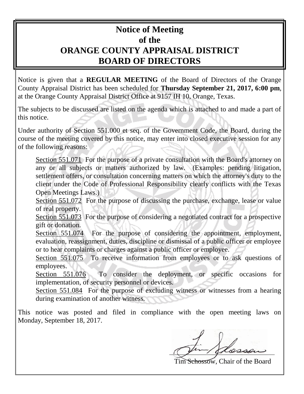## **Notice of Meeting of the ORANGE COUNTY APPRAISAL DISTRICT BOARD OF DIRECTORS**

Notice is given that a **REGULAR MEETING** of the Board of Directors of the Orange County Appraisal District has been scheduled for **Thursday September 21, 2017, 6:00 pm**, at the Orange County Appraisal District Office at 9157 IH 10, Orange, Texas.

The subjects to be discussed are listed on the agenda which is attached to and made a part of this notice.

Under authority of Section 551.000 et seq. of the Government Code, the Board, during the course of the meeting covered by this notice, may enter into closed executive session for any of the following reasons:

Section 551.071 For the purpose of a private consultation with the Board's attorney on any or all subjects or matters authorized by law. (Examples: pending litigation, settlement offers, or consultation concerning matters on which the attorney's duty to the client under the Code of Professional Responsibility clearly conflicts with the Texas Open Meetings Laws.)

Section 551.072 For the purpose of discussing the purchase, exchange, lease or value of real property.

Section 551.073 For the purpose of considering a negotiated contract for a prospective gift or donation.

Section 551.074 For the purpose of considering the appointment, employment, evaluation, reassignment, duties, discipline or dismissal of a public officer or employee or to hear complaints or charges against a public officer or employee.

Section 551.075 To receive information from employees or to ask questions of employees.

Section 551.076 To consider the deployment, or specific occasions for implementation, of security personnel or devices.

Section 551.084 For the purpose of excluding witness or witnesses from a hearing during examination of another witness.

This notice was posted and filed in compliance with the open meeting laws on Monday, September 18, 2017.

Schossow, Chair of the Board